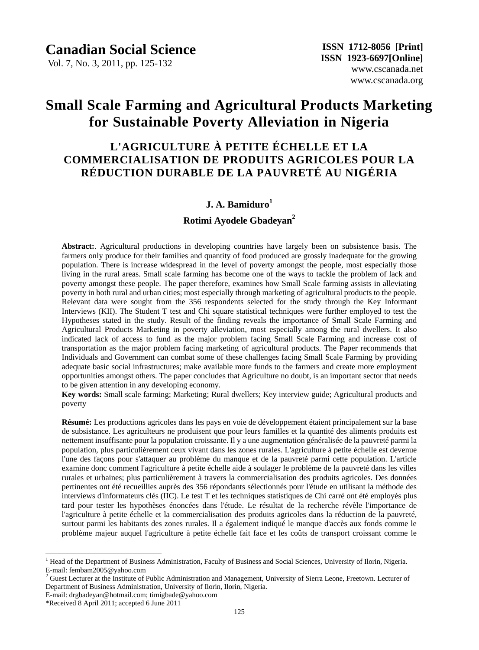## **Canadian Social Science**

Vol. 7, No. 3, 2011, pp. 125-132

# **Small Scale Farming and Agricultural Products Marketing for Sustainable Poverty Alleviation in Nigeria**

## **L'AGRICULTURE À PETITE ÉCHELLE ET LA COMMERCIALISATION DE PRODUITS AGRICOLES POUR LA RÉDUCTION DURABLE DE LA PAUVRETÉ AU NIGÉRIA**

## **J. A. Bamiduro<sup>1</sup>**

### **Rotimi Ayodele Gbadeyan<sup>2</sup>**

**Abstract:**. Agricultural productions in developing countries have largely been on subsistence basis. The farmers only produce for their families and quantity of food produced are grossly inadequate for the growing population. There is increase widespread in the level of poverty amongst the people, most especially those living in the rural areas. Small scale farming has become one of the ways to tackle the problem of lack and poverty amongst these people. The paper therefore, examines how Small Scale farming assists in alleviating poverty in both rural and urban cities; most especially through marketing of agricultural products to the people. Relevant data were sought from the 356 respondents selected for the study through the Key Informant Interviews (KII). The Student T test and Chi square statistical techniques were further employed to test the Hypotheses stated in the study. Result of the finding reveals the importance of Small Scale Farming and Agricultural Products Marketing in poverty alleviation, most especially among the rural dwellers. It also indicated lack of access to fund as the major problem facing Small Scale Farming and increase cost of transportation as the major problem facing marketing of agricultural products. The Paper recommends that Individuals and Government can combat some of these challenges facing Small Scale Farming by providing adequate basic social infrastructures; make available more funds to the farmers and create more employment opportunities amongst others. The paper concludes that Agriculture no doubt, is an important sector that needs to be given attention in any developing economy.

**Key words:** Small scale farming; Marketing; Rural dwellers; Key interview guide; Agricultural products and poverty

**R**ésum é: Les productions agricoles dans les pays en voie de développement étaient principalement sur la base de subsistance. Les agriculteurs ne produisent que pour leurs familles et la quantité des aliments produits est nettement insuffisante pour la population croissante. Il y a une augmentation généralisée de la pauvreté parmi la population, plus particulièrement ceux vivant dans les zones rurales. L'agriculture à petite échelle est devenue l'une des façons pour s'attaquer au problème du manque et de la pauvreté parmi cette population. L'article examine donc comment l'agriculture à petite échelle aide à soulager le problème de la pauvreté dans les villes rurales et urbaines; plus particulièrement à travers la commercialisation des produits agricoles. Des données pertinentes ont été recueillies auprès des 356 répondants sélectionnés pour l'étude en utilisant la méthode des interviews d'informateurs clés (IIC). Le test T et les techniques statistiques de Chi carréont été employés plus tard pour tester les hypothèses énoncées dans l'étude. Le résultat de la recherche révèle l'importance de l'agriculture à petite échelle et la commercialisation des produits agricoles dans la réduction de la pauvreté, surtout parmi les habitants des zones rurales. Il a également indiqué le manque d'accès aux fonds comme le problème majeur auquel l'agriculture à petite échelle fait face et les coûts de transport croissant comme le

 $\overline{a}$ 

<sup>1</sup> Head of the Department of Business Administration, Faculty of Business and Social Sciences, University of Ilorin, Nigeria. E-mail: fembam2005@yahoo.com

<sup>&</sup>lt;sup>2</sup> Guest Lecturer at the Institute of Public Administration and Management, University of Sierra Leone, Freetown. Lecturer of Department of Business Administration, University of Ilorin, Ilorin, Nigeria.

E-mail: drgbadeyan@hotmail.com; timigbade@yahoo.com

<sup>\*</sup>Received 8 April 2011; accepted 6 June 2011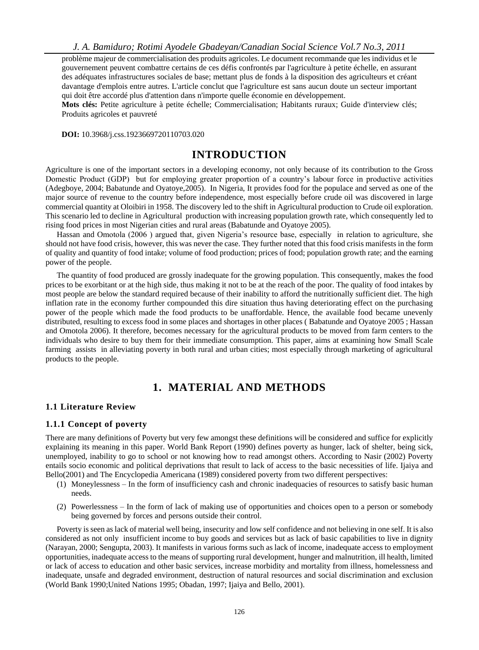*J. A. Bamiduro; Rotimi Ayodele Gbadeyan/Canadian Social Science Vol.7 No.3, 2011*

problème majeur de commercialisation des produits agricoles. Le document recommande que les individus et le gouvernement peuvent combattre certains de ces défis confrontés par l'agriculture à petite échelle, en assurant des adéquates infrastructures sociales de base; mettant plus de fonds à la disposition des agriculteurs et créant davantage d'emplois entre autres. L'article conclut que l'agriculture est sans aucun doute un secteur important qui doit être accordé plus d'attention dans n'importe quelle économie en développement.

**Mots clés:** Petite agriculture à petite échelle; Commercialisation; Habitants ruraux; Guide d'interview clés; Produits agricoles et pauvreté

 **DOI:** 10.3968/j.css.1923669720110703.020

## **INTRODUCTION**

Agriculture is one of the important sectors in a developing economy, not only because of its contribution to the Gross Domestic Product (GDP) but for employing greater proportion of a country's labour force in productive activities (Adegboye, 2004; Babatunde and Oyatoye,2005). In Nigeria, It provides food for the populace and served as one of the major source of revenue to the country before independence, most especially before crude oil was discovered in large commercial quantity at Oloibiri in 1958. The discovery led to the shift in Agricultural production to Crude oil exploration. This scenario led to decline in Agricultural production with increasing population growth rate, which consequently led to rising food prices in most Nigerian cities and rural areas (Babatunde and Oyatoye 2005).

Hassan and Omotola (2006 ) argued that, given Nigeria's resource base, especially in relation to agriculture, she should not have food crisis, however, this was never the case. They further noted that this food crisis manifests in the form of quality and quantity of food intake; volume of food production; prices of food; population growth rate; and the earning power of the people.

The quantity of food produced are grossly inadequate for the growing population. This consequently, makes the food prices to be exorbitant or at the high side, thus making it not to be at the reach of the poor. The quality of food intakes by most people are below the standard required because of their inability to afford the nutritionally sufficient diet. The high inflation rate in the economy further compounded this dire situation thus having deteriorating effect on the purchasing power of the people which made the food products to be unaffordable. Hence, the available food became unevenly distributed, resulting to excess food in some places and shortages in other places ( Babatunde and Oyatoye 2005 ; Hassan and Omotola 2006). It therefore, becomes necessary for the agricultural products to be moved from farm centers to the individuals who desire to buy them for their immediate consumption. This paper, aims at examining how Small Scale farming assists in alleviating poverty in both rural and urban cities; most especially through marketing of agricultural products to the people.

## **1. MATERIAL AND METHODS**

#### **1.1 Literature Review**

#### **1.1.1 Concept of poverty**

There are many definitions of Poverty but very few amongst these definitions will be considered and suffice for explicitly explaining its meaning in this paper. World Bank Report (1990) defines poverty as hunger, lack of shelter, being sick, unemployed, inability to go to school or not knowing how to read amongst others. According to Nasir (2002) Poverty entails socio economic and political deprivations that result to lack of access to the basic necessities of life. Ijaiya and Bello(2001) and The Encyclopedia Americana (1989) considered poverty from two different perspectives:

- (1) Moneylessness In the form of insufficiency cash and chronic inadequacies of resources to satisfy basic human needs.
- (2) Powerlessness In the form of lack of making use of opportunities and choices open to a person or somebody being governed by forces and persons outside their control.

Poverty is seen as lack of material well being, insecurity and low self confidence and not believing in one self. It is also considered as not only insufficient income to buy goods and services but as lack of basic capabilities to live in dignity (Narayan, 2000; Sengupta, 2003). It manifests in various forms such as lack of income, inadequate access to employment opportunities, inadequate access to the means of supporting rural development, hunger and malnutrition, ill health, limited or lack of access to education and other basic services, increase morbidity and mortality from illness, homelessness and inadequate, unsafe and degraded environment, destruction of natural resources and social discrimination and exclusion (World Bank 1990;United Nations 1995; Obadan, 1997; Ijaiya and Bello, 2001).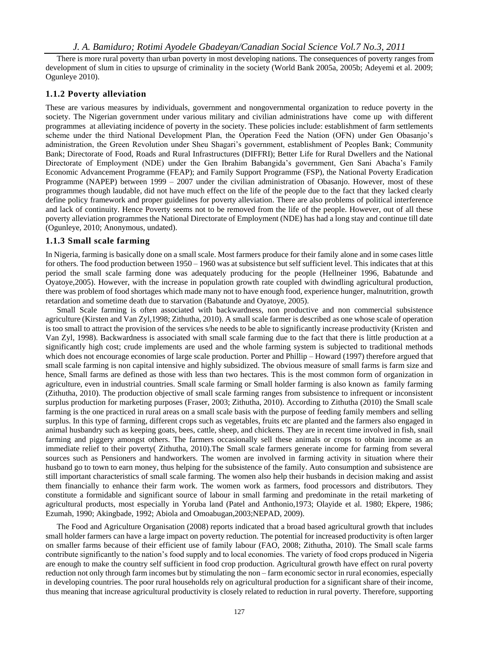There is more rural poverty than urban poverty in most developing nations. The consequences of poverty ranges from development of slum in cities to upsurge of criminality in the society (World Bank 2005a, 2005b; Adeyemi et al. 2009; Ogunleye 2010).

#### **1.1.2 Poverty alleviation**

These are various measures by individuals, government and nongovernmental organization to reduce poverty in the society. The Nigerian government under various military and civilian administrations have come up with different programmes at alleviating incidence of poverty in the society. These policies include: establishment of farm settlements scheme under the third National Development Plan, the Operation Feed the Nation (OFN) under Gen Obasanjo's administration, the Green Revolution under Sheu Shagari's government, establishment of Peoples Bank; Community Bank; Directorate of Food, Roads and Rural Infrastructures (DIFFRI); Better Life for Rural Dwellers and the National Directorate of Employment (NDE) under the Gen Ibrahim Babangida's government, Gen Sani Abacha's Family Economic Advancement Programme (FEAP); and Family Support Programme (FSP), the National Poverty Eradication Programme (NAPEP) between 1999 – 2007 under the civilian administration of Obasanjo. However, most of these programmes though laudable, did not have much effect on the life of the people due to the fact that they lacked clearly define policy framework and proper guidelines for poverty alleviation. There are also problems of political interference and lack of continuity. Hence Poverty seems not to be removed from the life of the people. However, out of all these poverty alleviation programmes the National Directorate of Employment (NDE) has had a long stay and continue till date (Ogunleye, 2010; Anonymous, undated).

#### **1.1.3 Small scale farming**

In Nigeria, farming is basically done on a small scale. Most farmers produce for their family alone and in some cases little for others. The food production between 1950 – 1960 was at subsistence but self sufficient level. This indicates that at this period the small scale farming done was adequately producing for the people (Hellneiner 1996, Babatunde and Oyatoye,2005). However, with the increase in population growth rate coupled with dwindling agricultural production, there was problem of food shortages which made many not to have enough food, experience hunger, malnutrition, growth retardation and sometime death due to starvation (Babatunde and Oyatoye, 2005).

Small Scale farming is often associated with backwardness, non productive and non commercial subsistence agriculture (Kirsten and Van Zyl,1998; Zithutha, 2010). A small scale farmer is described as one whose scale of operation is too small to attract the provision of the services s/he needs to be able to significantly increase productivity (Kristen and Van Zyl, 1998). Backwardness is associated with small scale farming due to the fact that there is little production at a significantly high cost; crude implements are used and the whole farming system is subjected to traditional methods which does not encourage economies of large scale production. Porter and Phillip – Howard (1997) therefore argued that small scale farming is non capital intensive and highly subsidized. The obvious measure of small farms is farm size and hence, Small farms are defined as those with less than two hectares. This is the most common form of organization in agriculture, even in industrial countries. Small scale farming or Small holder farming is also known as family farming (Zithutha, 2010). The production objective of small scale farming ranges from subsistence to infrequent or inconsistent surplus production for marketing purposes (Fraser, 2003; Zithutha, 2010). According to Zithutha (2010) the Small scale farming is the one practiced in rural areas on a small scale basis with the purpose of feeding family members and selling surplus. In this type of farming, different crops such as vegetables, fruits etc are planted and the farmers also engaged in animal husbandry such as keeping goats, bees, cattle, sheep, and chickens. They are in recent time involved in fish, snail farming and piggery amongst others. The farmers occasionally sell these animals or crops to obtain income as an immediate relief to their poverty( Zithutha, 2010).The Small scale farmers generate income for farming from several sources such as Pensioners and handworkers. The women are involved in farming activity in situation where their husband go to town to earn money, thus helping for the subsistence of the family. Auto consumption and subsistence are still important characteristics of small scale farming. The women also help their husbands in decision making and assist them financially to enhance their farm work. The women work as farmers, food processors and distributors. They constitute a formidable and significant source of labour in small farming and predominate in the retail marketing of agricultural products, most especially in Yoruba land (Patel and Anthonio,1973; Olayide et al. 1980; Ekpere, 1986; Ezumah, 1990; Akingbade, 1992; Abiola and Omoabugan,2003;NEPAD, 2009).

The Food and Agriculture Organisation (2008) reports indicated that a broad based agricultural growth that includes small holder farmers can have a large impact on poverty reduction. The potential for increased productivity is often larger on smaller farms because of their efficient use of family labour (FAO, 2008; Zithutha, 2010). The Small scale farms contribute significantly to the nation's food supply and to local economies. The variety of food crops produced in Nigeria are enough to make the country self sufficient in food crop production. Agricultural growth have effect on rural poverty reduction not only through farm incomes but by stimulating the non – farm economic sector in rural economies, especially in developing countries. The poor rural households rely on agricultural production for a significant share of their income, thus meaning that increase agricultural productivity is closely related to reduction in rural poverty. Therefore, supporting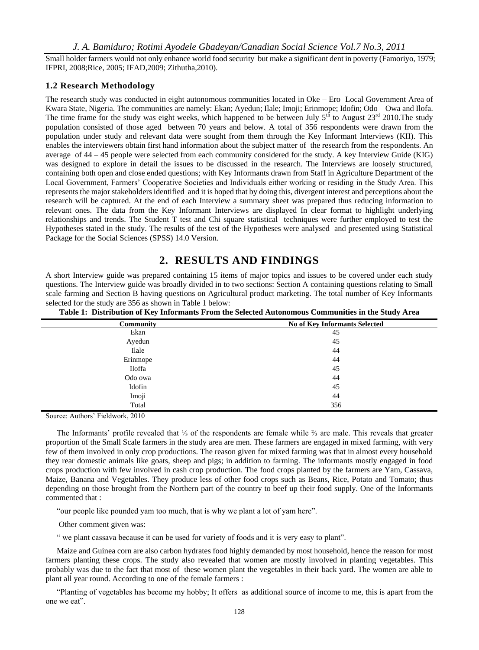Small holder farmers would not only enhance world food security but make a significant dent in poverty (Famoriyo, 1979; IFPRI, 2008;Rice, 2005; IFAD,2009; Zithutha,2010).

#### **1.2 Research Methodology**

The research study was conducted in eight autonomous communities located in Oke – Ero Local Government Area of Kwara State, Nigeria. The communities are namely: Ekan; Ayedun; Ilale; Imoji; Erinmope; Idofin; Odo – Owa and Ilofa. The time frame for the study was eight weeks, which happened to be between July  $5<sup>th</sup>$  to August 23<sup>rd</sup> 2010. The study population consisted of those aged between 70 years and below. A total of 356 respondents were drawn from the population under study and relevant data were sought from them through the Key Informant Interviews (KII). This enables the interviewers obtain first hand information about the subject matter of the research from the respondents. An average of 44 – 45 people were selected from each community considered for the study. A key Interview Guide (KIG) was designed to explore in detail the issues to be discussed in the research. The Interviews are loosely structured, containing both open and close ended questions; with Key Informants drawn from Staff in Agriculture Department of the Local Government, Farmers' Cooperative Societies and Individuals either working or residing in the Study Area. This represents the major stakeholders identified and it is hoped that by doing this, divergent interest and perceptions about the research will be captured. At the end of each Interview a summary sheet was prepared thus reducing information to relevant ones. The data from the Key Informant Interviews are displayed In clear format to highlight underlying relationships and trends. The Student T test and Chi square statistical techniques were further employed to test the Hypotheses stated in the study. The results of the test of the Hypotheses were analysed and presented using Statistical Package for the Social Sciences (SPSS) 14.0 Version.

## **2. RESULTS AND FINDINGS**

A short Interview guide was prepared containing 15 items of major topics and issues to be covered under each study questions. The Interview guide was broadly divided in to two sections: Section A containing questions relating to Small scale farming and Section B having questions on Agricultural product marketing. The total number of Key Informants selected for the study are 356 as shown in Table 1 below:

| <b>No of Key Informants Selected</b> |
|--------------------------------------|
| 45                                   |
| 45                                   |
| 44                                   |
| 44                                   |
| 45                                   |
| 44                                   |
| 45                                   |
| 44                                   |
| 356                                  |
|                                      |

**Table 1: Distribution of Key Informants From the Selected Autonomous Communities in the Study Area**

Source: Authors' Fieldwork, 2010

The Informants' profile revealed that ⅓ of the respondents are female while ⅔ are male. This reveals that greater proportion of the Small Scale farmers in the study area are men. These farmers are engaged in mixed farming, with very few of them involved in only crop productions. The reason given for mixed farming was that in almost every household they rear domestic animals like goats, sheep and pigs; in addition to farming. The informants mostly engaged in food crops production with few involved in cash crop production. The food crops planted by the farmers are Yam, Cassava, Maize, Banana and Vegetables. They produce less of other food crops such as Beans, Rice, Potato and Tomato; thus depending on those brought from the Northern part of the country to beef up their food supply. One of the Informants commented that :

"our people like pounded yam too much, that is why we plant a lot of yam here".

Other comment given was:

" we plant cassava because it can be used for variety of foods and it is very easy to plant".

Maize and Guinea corn are also carbon hydrates food highly demanded by most household, hence the reason for most farmers planting these crops. The study also revealed that women are mostly involved in planting vegetables. This probably was due to the fact that most of these women plant the vegetables in their back yard. The women are able to plant all year round. According to one of the female farmers :

"Planting of vegetables has become my hobby; It offers as additional source of income to me, this is apart from the one we eat".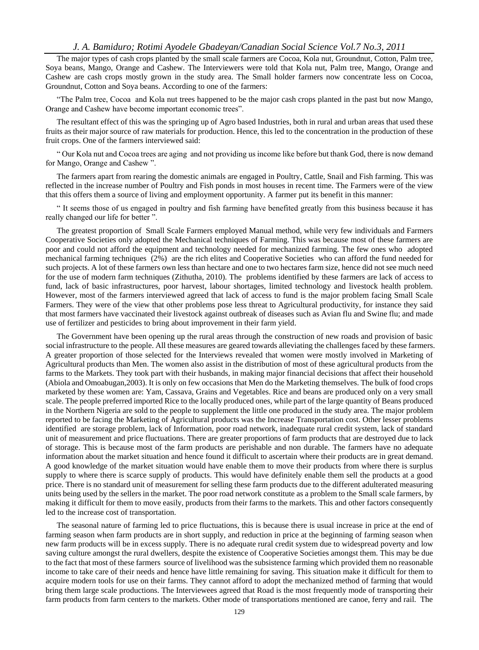#### *J. A. Bamiduro; Rotimi Ayodele Gbadeyan/Canadian Social Science Vol.7 No.3, 2011*

The major types of cash crops planted by the small scale farmers are Cocoa, Kola nut, Groundnut, Cotton, Palm tree, Soya beans, Mango, Orange and Cashew. The Interviewers were told that Kola nut, Palm tree, Mango, Orange and Cashew are cash crops mostly grown in the study area. The Small holder farmers now concentrate less on Cocoa, Groundnut, Cotton and Soya beans. According to one of the farmers:

"The Palm tree, Cocoa and Kola nut trees happened to be the major cash crops planted in the past but now Mango, Orange and Cashew have become important economic trees".

The resultant effect of this was the springing up of Agro based Industries, both in rural and urban areas that used these fruits as their major source of raw materials for production. Hence, this led to the concentration in the production of these fruit crops. One of the farmers interviewed said:

" Our Kola nut and Cocoa trees are aging and not providing us income like before but thank God, there is now demand for Mango, Orange and Cashew ".

The farmers apart from rearing the domestic animals are engaged in Poultry, Cattle, Snail and Fish farming. This was reflected in the increase number of Poultry and Fish ponds in most houses in recent time. The Farmers were of the view that this offers them a source of living and employment opportunity. A farmer put its benefit in this manner:

" It seems those of us engaged in poultry and fish farming have benefited greatly from this business because it has really changed our life for better ".

The greatest proportion of Small Scale Farmers employed Manual method, while very few individuals and Farmers Cooperative Societies only adopted the Mechanical techniques of Farming. This was because most of these farmers are poor and could not afford the equipment and technology needed for mechanized farming. The few ones who adopted mechanical farming techniques (2%) are the rich elites and Cooperative Societies who can afford the fund needed for such projects. A lot of these farmers own less than hectare and one to two hectares farm size, hence did not see much need for the use of modern farm techniques (Zithutha, 2010). The problems identified by these farmers are lack of access to fund, lack of basic infrastructures, poor harvest, labour shortages, limited technology and livestock health problem. However, most of the farmers interviewed agreed that lack of access to fund is the major problem facing Small Scale Farmers. They were of the view that other problems pose less threat to Agricultural productivity, for instance they said that most farmers have vaccinated their livestock against outbreak of diseases such as Avian flu and Swine flu; and made use of fertilizer and pesticides to bring about improvement in their farm yield.

The Government have been opening up the rural areas through the construction of new roads and provision of basic social infrastructure to the people. All these measures are geared towards alleviating the challenges faced by these farmers. A greater proportion of those selected for the Interviews revealed that women were mostly involved in Marketing of Agricultural products than Men. The women also assist in the distribution of most of these agricultural products from the farms to the Markets. They took part with their husbands, in making major financial decisions that affect their household (Abiola and Omoabugan,2003). It is only on few occasions that Men do the Marketing themselves. The bulk of food crops marketed by these women are: Yam, Cassava, Grains and Vegetables. Rice and beans are produced only on a very small scale. The people preferred imported Rice to the locally produced ones, while part of the large quantity of Beans produced in the Northern Nigeria are sold to the people to supplement the little one produced in the study area. The major problem reported to be facing the Marketing of Agricultural products was the Increase Transportation cost. Other lesser problems identified are storage problem, lack of Information, poor road network, inadequate rural credit system, lack of standard unit of measurement and price fluctuations. There are greater proportions of farm products that are destroyed due to lack of storage. This is because most of the farm products are perishable and non durable. The farmers have no adequate information about the market situation and hence found it difficult to ascertain where their products are in great demand. A good knowledge of the market situation would have enable them to move their products from where there is surplus supply to where there is scarce supply of products. This would have definitely enable them sell the products at a good price. There is no standard unit of measurement for selling these farm products due to the different adulterated measuring units being used by the sellers in the market. The poor road network constitute as a problem to the Small scale farmers, by making it difficult for them to move easily, products from their farms to the markets. This and other factors consequently led to the increase cost of transportation.

The seasonal nature of farming led to price fluctuations, this is because there is usual increase in price at the end of farming season when farm products are in short supply, and reduction in price at the beginning of farming season when new farm products will be in excess supply. There is no adequate rural credit system due to widespread poverty and low saving culture amongst the rural dwellers, despite the existence of Cooperative Societies amongst them. This may be due to the fact that most of these farmers source of livelihood was the subsistence farming which provided them no reasonable income to take care of their needs and hence have little remaining for saving. This situation make it difficult for them to acquire modern tools for use on their farms. They cannot afford to adopt the mechanized method of farming that would bring them large scale productions. The Interviewees agreed that Road is the most frequently mode of transporting their farm products from farm centers to the markets. Other mode of transportations mentioned are canoe, ferry and rail. The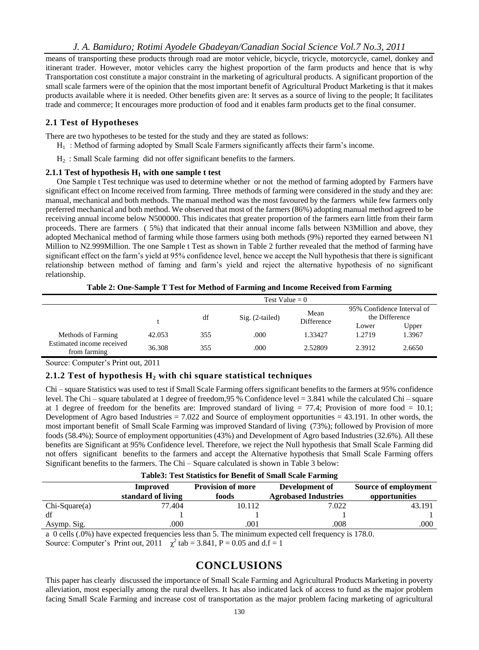means of transporting these products through road are motor vehicle, bicycle, tricycle, motorcycle, camel, donkey and itinerant trader. However, motor vehicles carry the highest proportion of the farm products and hence that is why Transportation cost constitute a major constraint in the marketing of agricultural products. A significant proportion of the small scale farmers were of the opinion that the most important benefit of Agricultural Product Marketing is that it makes products available where it is needed. Other benefits given are: It serves as a source of living to the people; It facilitates trade and commerce; It encourages more production of food and it enables farm products get to the final consumer.

#### **2.1 Test of Hypotheses**

There are two hypotheses to be tested for the study and they are stated as follows:

- $H<sub>1</sub>$ : Method of farming adopted by Small Scale Farmers significantly affects their farm's income.
- H2 : Small Scale farming did not offer significant benefits to the farmers.

#### **2.1.1 Test of hypothesis H<sup>1</sup> with one sample t test**

One Sample t Test technique was used to determine whether or not the method of farming adopted by Farmers have significant effect on Income received from farming. Three methods of farming were considered in the study and they are: manual, mechanical and both methods. The manual method was the most favoured by the farmers while few farmers only preferred mechanical and both method. We observed that most of the farmers (86%) adopting manual method agreed to be receiving annual income below N500000. This indicates that greater proportion of the farmers earn little from their farm proceeds. There are farmers ( 5%) that indicated that their annual income falls between N3Million and above, they adopted Mechanical method of farming while those farmers using both methods (9%) reported they earned between N1 Million to N2.999Million. The one Sample t Test as shown in Table 2 further revealed that the method of farming have significant effect on the farm's yield at 95% confidence level, hence we accept the Null hypothesis that there is significant relationship between method of faming and farm's yield and reject the alternative hypothesis of no significant relationship.

**Table 2: One-Sample T Test for Method of Farming and Income Received from Farming**

|                                           | Test Value $= 0$ |     |                           |            |        |                                              |
|-------------------------------------------|------------------|-----|---------------------------|------------|--------|----------------------------------------------|
|                                           |                  | df  | Mean<br>$Sig. (2-tailed)$ |            |        | 95% Confidence Interval of<br>the Difference |
|                                           |                  |     |                           | Difference | Lower  | Upper                                        |
| Methods of Farming                        | 42.053           | 355 | .000                      | 1.33427    | 1.2719 | 1.3967                                       |
| Estimated income received<br>from farming | 36.308           | 355 | .000                      | 2.52809    | 2.3912 | 2.6650                                       |

Source: Computer's Print out, 2011

#### **2.1.2 Test of hypothesis H<sup>2</sup> with chi square statistical techniques**

Chi – square Statistics was used to test if Small Scale Farming offers significant benefits to the farmers at 95% confidence level. The Chi – square tabulated at 1 degree of freedom,95 % Confidence level = 3.841 while the calculated Chi – square at 1 degree of freedom for the benefits are: Improved standard of living  $= 77.4$ ; Provision of more food  $= 10.1$ ; Development of Agro based Industries  $= 7.022$  and Source of employment opportunities  $= 43.191$ . In other words, the most important benefit of Small Scale Farming was improved Standard of living (73%); followed by Provision of more foods (58.4%); Source of employment opportunities (43%) and Development of Agro based Industries (32.6%). All these benefits are Significant at 95% Confidence level. Therefore, we reject the Null hypothesis that Small Scale Farming did not offers significant benefits to the farmers and accept the Alternative hypothesis that Small Scale Farming offers Significant benefits to the farmers. The Chi – Square calculated is shown in Table 3 below:

|                 | <b>Improved</b>    | <b>Provision of more</b> | Development of              | Source of employment |  |
|-----------------|--------------------|--------------------------|-----------------------------|----------------------|--|
|                 | standard of living | foods                    | <b>Agrobased Industries</b> | opportunities        |  |
| $Chi-Square(a)$ | 77.404             | 10.112                   | 7.022                       | 43.191               |  |
| df              |                    |                          |                             |                      |  |
| Asymp. Sig.     | .000               | .001                     | .008                        | .000                 |  |

a 0 cells (.0%) have expected frequencies less than 5. The minimum expected cell frequency is 178.0. Source: Computer's Print out, 2011  $\chi^2$  tab = 3.841, P = 0.05 and d.f = 1

## **CONCLUSIONS**

This paper has clearly discussed the importance of Small Scale Farming and Agricultural Products Marketing in poverty alleviation, most especially among the rural dwellers. It has also indicated lack of access to fund as the major problem facing Small Scale Farming and increase cost of transportation as the major problem facing marketing of agricultural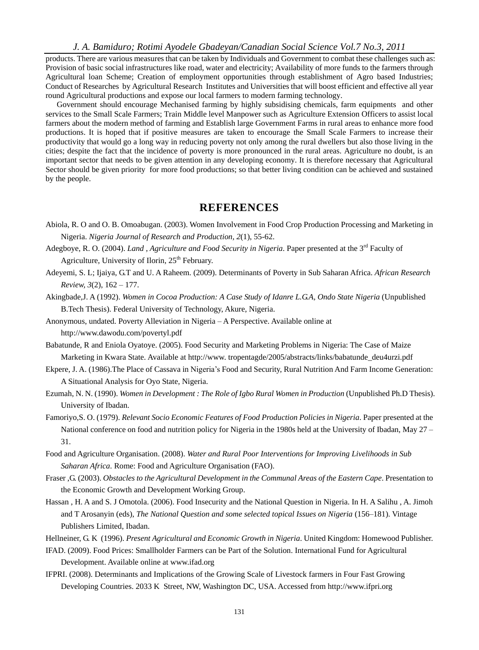*J. A. Bamiduro; Rotimi Ayodele Gbadeyan/Canadian Social Science Vol.7 No.3, 2011*

products. There are various measures that can be taken by Individuals and Government to combat these challenges such as: Provision of basic social infrastructures like road, water and electricity; Availability of more funds to the farmers through Agricultural loan Scheme; Creation of employment opportunities through establishment of Agro based Industries; Conduct of Researches by Agricultural Research Institutes and Universities that will boost efficient and effective all year round Agricultural productions and expose our local farmers to modern farming technology.

Government should encourage Mechanised farming by highly subsidising chemicals, farm equipments and other services to the Small Scale Farmers; Train Middle level Manpower such as Agriculture Extension Officers to assist local farmers about the modern method of farming and Establish large Government Farms in rural areas to enhance more food productions. It is hoped that if positive measures are taken to encourage the Small Scale Farmers to increase their productivity that would go a long way in reducing poverty not only among the rural dwellers but also those living in the cities; despite the fact that the incidence of poverty is more pronounced in the rural areas. Agriculture no doubt, is an important sector that needs to be given attention in any developing economy. It is therefore necessary that Agricultural Sector should be given priority for more food productions; so that better living condition can be achieved and sustained by the people.

## **REFERENCES**

- Abiola, R. O and O. B. Omoabugan. (2003). Women Involvement in Food Crop Production Processing and Marketing in Nigeria. *Nigeria Journal of Research and Production, 2*(1), 55-62.
- Adegboye, R. O. (2004). *Land , Agriculture and Food Security in Nigeria*. Paper presented at the 3rd Faculty of Agriculture, University of Ilorin, 25<sup>th</sup> February.
- Adeyemi, S. L; Ijaiya, G.T and U. A Raheem. (2009). Determinants of Poverty in Sub Saharan Africa. *African Research Review, 3*(2), 162 – 177.
- Akingbade,J. A (1992). *Women in Cocoa Production: A Case Study of Idanre L.G.A, Ondo State Nigeria* (Unpublished B.Tech Thesis). Federal University of Technology, Akure, Nigeria.
- Anonymous, undated. Poverty Alleviation in Nigeria A Perspective. Available online at http://www.dawodu.com/povertyl.pdf
- Babatunde, R and Eniola Oyatoye. (2005). Food Security and Marketing Problems in Nigeria: The Case of Maize Marketing in Kwara State. Available at http://www. tropentagde/2005/abstracts/links/babatunde\_deu4urzi.pdf
- Ekpere, J. A. (1986).The Place of Cassava in Nigeria's Food and Security, Rural Nutrition And Farm Income Generation: A Situational Analysis for Oyo State, Nigeria.
- Ezumah, N. N. (1990). *Women in Development : The Role of Igbo Rural Women in Production* (Unpublished Ph.D Thesis). University of Ibadan.
- Famoriyo,S. O. (1979). *Relevant Socio Economic Features of Food Production Policies in Nigeria*. Paper presented at the National conference on food and nutrition policy for Nigeria in the 1980s held at the University of Ibadan, May 27 – 31.
- Food and Agriculture Organisation. (2008). *Water and Rural Poor Interventions for Improving Livelihoods in Sub Saharan Africa*. Rome: Food and Agriculture Organisation (FAO).
- Fraser ,G. (2003). *Obstacles to the Agricultural Development in the Communal Areas of the Eastern Cape*. Presentation to the Economic Growth and Development Working Group.
- Hassan , H. A and S. J Omotola. (2006). Food Insecurity and the National Question in Nigeria. In H. A Salihu , A. Jimoh and T Arosanyin (eds), *The National Question and some selected topical Issues on Nigeria* (156–181). Vintage Publishers Limited, Ibadan.
- Hellneiner, G. K (1996). *Present Agricultural and Economic Growth in Nigeria*. United Kingdom: Homewood Publisher.
- IFAD. (2009). Food Prices: Smallholder Farmers can be Part of the Solution. International Fund for Agricultural Development. Available online at www.ifad.org
- IFPRI. (2008). Determinants and Implications of the Growing Scale of Livestock farmers in Four Fast Growing Developing Countries. 2033 K Street, NW, Washington DC, USA. Accessed from http://www.ifpri.org